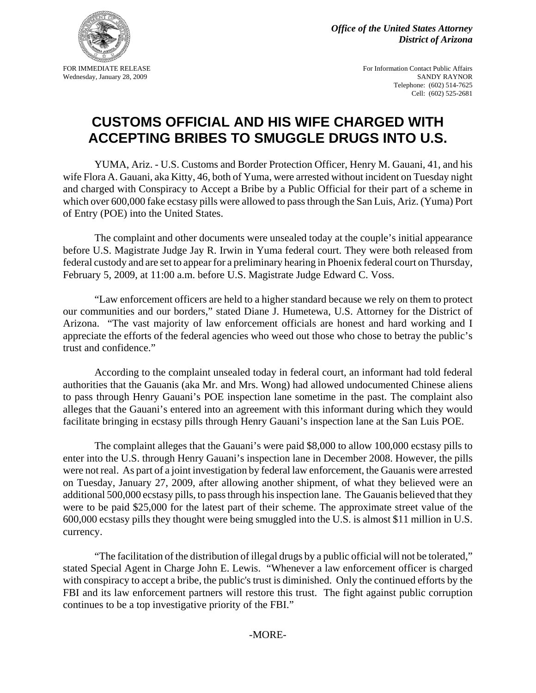*Office of the United States Attorney District of Arizona* 

Wednesday, January 28, 2009

FOR IMMEDIATE RELEASE FOR INTERFECT SELENCE FOR INTERFECT ACCORDING THE SELENCE FOR INFORMATION CONTACT PUblic Affairs<br>Wednesday, January 28, 2009 Telephone: (602) 514-7625 Cell: (602) 525-2681

## **CUSTOMS OFFICIAL AND HIS WIFE CHARGED WITH ACCEPTING BRIBES TO SMUGGLE DRUGS INTO U.S.**

 wife Flora A. Gauani, aka Kitty, 46, both of Yuma, were arrested without incident on Tuesday night and charged with Conspiracy to Accept a Bribe by a Public Official for their part of a scheme in YUMA, Ariz. - U.S. Customs and Border Protection Officer, Henry M. Gauani, 41, and his which over 600,000 fake ecstasy pills were allowed to pass through the San Luis, Ariz. (Yuma) Port of Entry (POE) into the United States.

The complaint and other documents were unsealed today at the couple's initial appearance before U.S. Magistrate Judge Jay R. Irwin in Yuma federal court. They were both released from federal custody and are set to appear for a preliminary hearing in Phoenix federal court on Thursday, February 5, 2009, at 11:00 a.m. before U.S. Magistrate Judge Edward C. Voss.

"Law enforcement officers are held to a higher standard because we rely on them to protect our communities and our borders," stated Diane J. Humetewa, U.S. Attorney for the District of Arizona. "The vast majority of law enforcement officials are honest and hard working and I appreciate the efforts of the federal agencies who weed out those who chose to betray the public's trust and confidence."

According to the complaint unsealed today in federal court, an informant had told federal authorities that the Gauanis (aka Mr. and Mrs. Wong) had allowed undocumented Chinese aliens to pass through Henry Gauani's POE inspection lane sometime in the past. The complaint also alleges that the Gauani's entered into an agreement with this informant during which they would facilitate bringing in ecstasy pills through Henry Gauani's inspection lane at the San Luis POE.

The complaint alleges that the Gauani's were paid \$8,000 to allow 100,000 ecstasy pills to enter into the U.S. through Henry Gauani's inspection lane in December 2008. However, the pills were not real. As part of a joint investigation by federal law enforcement, the Gauanis were arrested on Tuesday, January 27, 2009, after allowing another shipment, of what they believed were an additional 500,000 ecstasy pills, to pass through his inspection lane. The Gauanis believed that they were to be paid \$25,000 for the latest part of their scheme. The approximate street value of the 600,000 ecstasy pills they thought were being smuggled into the U.S. is almost \$11 million in U.S. currency.

"The facilitation of the distribution of illegal drugs by a public official will not be tolerated," stated Special Agent in Charge John E. Lewis. "Whenever a law enforcement officer is charged with conspiracy to accept a bribe, the public's trust is diminished. Only the continued efforts by the FBI and its law enforcement partners will restore this trust. The fight against public corruption continues to be a top investigative priority of the FBI."